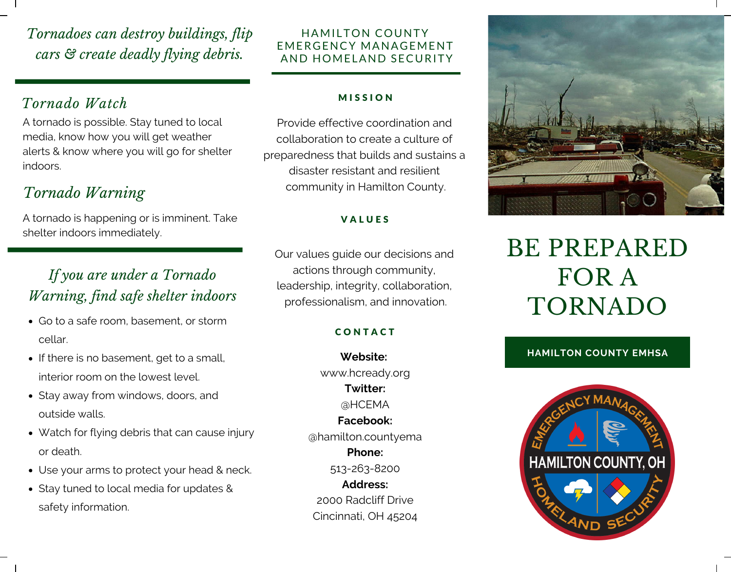*Tornadoes can destroy buildings, flip cars & create deadly flying debris.*

### *Tornado Watch*

A tornado is possible. Stay tuned to local media, know how you will get weather alerts & know where you will go for shelter indoors.

## *Tornado Warning*

A tornado is happening or is imminent. Take shelter indoors immediately.

## *If you are under a Tornado Warning, find safe shelter indoors*

- Go to a safe room, basement, or storm cellar.
- If there is no basement, get to a small, interior room on the lowest level.
- Stay away from windows, doors, and outside walls.
- Watch for flying debris that can cause injury or death.
- Use your arms to protect your head & neck.
- Stay tuned to local media for updates & safety information.

### HAMILTON COUNTY EMERGENCY MANAGEMENT AND HOMELAND SECURITY

#### **MISSION**

Provide effective coordination and collaboration to create a culture of preparedness that builds and sustains a disaster resistant and resilient community in Hamilton County.

### **VALUES**

Our values guide our decisions and actions through community, leadership, integrity, collaboration, professionalism, and innovation.

### **CONTACT**

**Website:** www.hcready.org **Twitter:** @HCEMA **Facebook:** @hamilton.countyema **Phone:** 513-263-8200 **Address:** 2000 Radcliff Drive Cincinnati, OH 45204



# BE PREPARED FOR A TORNADO

### **HAMILTON COUNTY EMHSA**